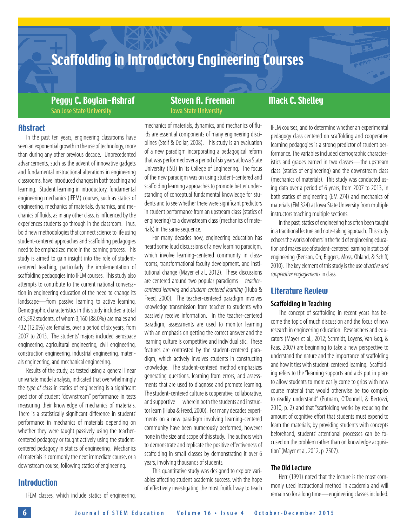# Scaffolding in Introductory Engineering Courses

Peggy C. Boylan-Ashraf Steven A. Freeman Mack C. Shelley San Jose State University **Iowa State University** 

# **Abstract**

In the past ten years, engineering classrooms have seen an exponential growth in the use of technology, more than during any other previous decade. Unprecedented advancements, such as the advent of innovative gadgets and fundamental instructional alterations in engineering classrooms, have introduced changes in both teaching and learning. Student learning in introductory, fundamental engineering mechanics (IFEM) courses, such as statics of engineering, mechanics of materials, dynamics, and mechanics of fluids, as in any other class, is influenced by the experiences students go through in the classroom. Thus, bold new methodologies that connect science to life using student-centered approaches and scaffolding pedagogies need to be emphasized more in the learning process. This study is aimed to gain insight into the role of studentcentered teaching, particularly the implementation of scaffolding pedagogies into IFEM courses. This study also attempts to contribute to the current national conversation in engineering education of the need to change its landscape—from passive learning to active learning. Demographic characteristics in this study included a total of 3,592 students, of whom 3,160 (88.0%) are males and 432 (12.0%) are females, over a period of six years, from 2007 to 2013. The students' majors included aerospace engineering, agricultural engineering, civil engineering, construction engineering, industrial engineering, materials engineering, and mechanical engineering.

Results of the study, as tested using a general linear univariate model analysis, indicated that overwhelmingly the *type of class* in statics of engineering is a significant predictor of student "downstream" performance in tests measuring their knowledge of mechanics of materials. There is a statistically significant difference in students' performance in mechanics of materials depending on whether they were taught passively using the teachercentered pedagogy or taught actively using the studentcentered pedagogy in statics of engineering. Mechanics of materials is commonly the next immediate course, or a downstream course, following statics of engineering.

# **Introduction**

IFEM classes, which include statics of engineering,

mechanics of materials, dynamics, and mechanics of fluids are essential components of many engineering disciplines (Steif & Dollar, 2008). This study is an evaluation of a new paradigm incorporating a pedagogical reform that was performed over a period of six years at Iowa State University (ISU) in its College of Engineering. The focus of the new paradigm was on using student-centered and scaffolding learning approaches to promote better understanding of conceptual fundamental knowledge for students and to see whether there were significant predictors in student performance from an upstream class (statics of engineering) to a downstream class (mechanics of materials) in the same sequence.

For many decades now, engineering education has heard some loud discussions of a new learning paradigm, which involve learning-centered community in classrooms, transformational faculty development, and institutional change (Mayer et al., 2012). These discussions are centered around two popular paradigms—*teachercentered learning* and *student-centered learning* (Huba & Freed, 2000). The teacher-centered paradigm involves knowledge transmission from teacher to students who passively receive information. In the teacher-centered paradigm, assessments are used to monitor learning with an emphasis on getting the correct answer and the learning culture is competitive and individualistic. These features are contrasted by the student-centered paradigm, which actively involves students in constructing knowledge. The student-centered method emphasizes generating questions, learning from errors, and assessments that are used to diagnose and promote learning. The student-centered culture is cooperative, collaborative, and supportive—wherein both the students and instructor learn (Huba & Freed, 2000). For many decades experiments on a new paradigm involving learning-centered community have been numerously performed, however none in the size and scope of this study. The authors wish to demonstrate and replicate the positive effectiveness of scaffolding in small classes by demonstrating it over 6 years, involving thousands of students.

This quantitative study was designed to explore variables affecting student academic success, with the hope of effectively investigating the most fruitful way to teach IFEM courses, and to determine whether an experimental pedagogy class centered on scaffolding and cooperative learning pedagogies is a strong predictor of student performance. The variables included demographic characteristics and grades earned in two classes—the upstream class (statics of engineering) and the downstream class (mechanics of materials). This study was conducted using data over a period of 6 years, from 2007 to 2013, in both statics of engineering (EM 274) and mechanics of materials (EM 324) at Iowa State University from multiple instructors teaching multiple sections.

In the past, statics of engineering has often been taught in a traditional lecture and note-taking approach. This study echoes the works of others in the field of engineering education and makes use of student-centered learning in statics of engineering (Benson, Orr, Biggers, Moss, Ohland, & Schiff, 2010). The key element of this study is the use of *active and cooperative engagements* in class.

## Literature Review

#### **Scaffolding in Teaching**

The concept of scaffolding in recent years has become the topic of much discussion and the focus of new research in engineering education. Researchers and educators (Mayer et al., 2012; Schmidt, Loyens, Van Gog, & Paas, 2007) are beginning to take a new perspective to understand the nature and the importance of scaffolding and how it ties with student-centered learning. Scaffolding refers to the "learning supports and aids put in place to allow students to more easily come to grips with new course material that would otherwise be too complex to readily understand" (Putnam, O'Donnell, & Bertozzi, 2010, p. 2) and that "scaffolding works by reducing the amount of cognitive effort that students must expend to learn the materials; by providing students with concepts beforehand, students' attentional processes can be focused on the problem rather than on knowledge acquisition" (Mayer et al, 2012, p. 2507).

### **The Old Lecture**

Herr (1991) noted that the lecture is the most commonly used instructional method in academia and will remain so for a long time—engineering classes included.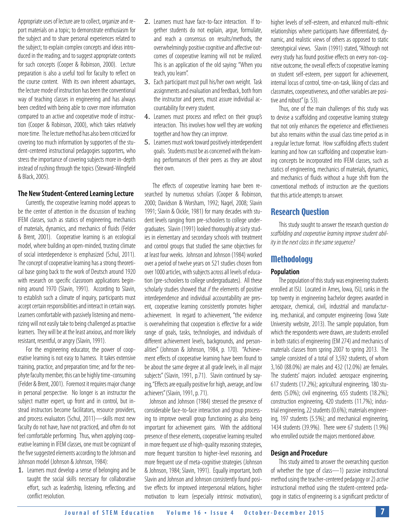Appropriate uses of lecture are to collect, organize and report materials on a topic; to demonstrate enthusiasm for the subject and to share personal experiences related to the subject; to explain complex concepts and ideas introduced in the reading; and to suggest appropriate contexts for such concepts (Cooper & Robinson, 2000). Lecture preparation is also a useful tool for faculty to reflect on the course content. With its own inherent advantages, the lecture mode of instruction has been the conventional way of teaching classes in engineering and has always been credited with being able to cover more information compared to an active and cooperative mode of instruction (Cooper & Robinson, 2000), which takes relatively more time. The lecture method has also been criticized for covering too much information by supporters of the student-centered instructional pedagogies supporters, who stress the importance of covering subjects more in-depth instead of rushing through the topics (Steward-Wingfield & Black, 2005).

#### **The New Student-Centered Learning Lecture**

Currently, the cooperative learning model appears to be the center of attention in the discussion of teaching IFEM classes, such as statics of engineering, mechanics of materials, dynamics, and mechanics of fluids (Felder & Brent, 2001). Cooperative learning is an ecological model, where building an open-minded, trusting climate of social interdependence is emphasized (Schul, 2011). The concept of cooperative learning has a strong theoretical base going back to the work of Deutsch around 1920 with research on specific classroom applications beginning around 1970 (Slavin, 1991). According to Slavin, to establish such a climate of inquiry, participants must accept certain responsibilities and interact in certain ways. Learners comfortable with passively listening and memorizing will not easily take to being challenged as proactive learners. They will be at the least anxious, and more likely resistant, resentful, or angry (Slavin, 1991).

For the engineering educator, the power of cooperative learning is not easy to harness. It takes extensive training, practice, and preparation time; and for the neophyte faculty member, this can be highly time-consuming (Felder & Brent, 2001). Foremost it requires major change in personal perspective. No longer is an instructor the subject matter expert, up front and in control, but instead instructors become facilitators, resource providers, and process evaluators (Schul, 2011)—skills most new faculty do not have, have not practiced, and often do not feel comfortable performing. Thus, when applying cooperative learning in IFEM classes, one must be cognizant of the five suggested elements according to the Johnson and Johnson model (Johnson & Johnson, 1984):

1. Learners must develop a sense of belonging and be taught the social skills necessary for collaborative effort, such as leadership, listening, reflecting, and conflict resolution.

- 2. Learners must have face-to-face interaction. If together students do not explain, argue, formulate, and reach a consensus on results/methods, the overwhelmingly positive cognitive and affective outcomes of cooperative learning will not be realized. This is an application of the old saying: "When you teach, you learn".
- 3. Each participant must pull his/her own weight. Task assignments and evaluation and feedback, both from the instructor and peers, must assure individual accountability for every student.
- 4. Learners must process and reflect on their group's interaction. This involves how well they are working together and how they can improve.
- 5. Learners must work toward positively interdependent goals. Students must be as concerned with the learning performances of their peers as they are about their own.

The effects of cooperative learning have been researched by numerous scholars (Cooper & Robinson, 2000; Davidson & Worsham, 1992; Nagel, 2008; Slavin 1991; Slavin & Oickle, 1981) for many decades with student levels ranging from pre-schoolers to college undergraduates. Slavin (1991) looked thoroughly at sixty studies in elementary and secondary schools with treatment and control groups that studied the same objectives for at least four weeks. Johnson and Johnson (1984) worked over a period of twelve years on 521 studies chosen from over 1000 articles, with subjects across all levels of education (pre-schoolers to college undergraduates). All these scholarly studies showed that *if* the elements of positive interdependence and individual accountability are present, cooperative learning consistently promotes higher achievement. In regard to achievement, "the evidence is overwhelming that cooperation is effective for a wide range of goals, tasks, technologies, and individuals of different achievement levels, backgrounds, and personalities" (Johnson & Johnson, 1984, p. 170). "Achievement effects of cooperative learning have been found to be about the same degree at all grade levels, in all major subjects" (Slavin, 1991, p.71). Slavin continued by saying, "Effects are equally positive for high, average, and low achievers" (Slavin, 1991, p. 71).

 Johnson and Johnson (1984) stressed the presence of considerable face-to-face interaction and group processing to improve overall group functioning as also being important for achievement gains. With the additional presence of these elements, cooperative learning resulted in more frequent use of high-quality reasoning strategies, more frequent transition to higher-level reasoning, and more frequent use of meta-cognitive strategies (Johnson & Johnson, 1984; Slavin, 1991). Equally important, both Slavin and Johnson and Johnson consistently found positive effects for improved interpersonal relations, higher motivation to learn (especially intrinsic motivation),

higher levels of self-esteem, and enhanced multi-ethnic relationships where participants have differentiated, dynamic, and realistic views of others as opposed to static stereotypical views. Slavin (1991) stated, "Although not every study has found positive effects on every non-cognitive outcome, the overall effects of cooperative learning on student self-esteem, peer support for achievement, internal locus of control, time-on-task, liking of class and classmates, cooperativeness, and other variables are positive and robust" (p. 53).

Thus, one of the main challenges of this study was to devise a scaffolding and cooperative learning strategy that not only enhances the experience and effectiveness but also remains within the usual class time period as in a regular lecture format. How scaffolding affects student learning and how can scaffolding and cooperative learning concepts be incorporated into IFEM classes, such as statics of engineering, mechanics of materials, dynamics, and mechanics of fluids without a huge shift from the conventional methods of instruction are the questions that this article attempts to answer.

### Research Question

This study sought to answer the research question *do scaffolding and cooperative learning improve student ability in the next class in the same sequence?*

#### **Methodology**

#### **Population**

The population of this study was engineering students enrolled at ISU. Located in Ames, Iowa, ISU, ranks in the top twenty in engineering bachelor degrees awarded in aerospace, chemical, civil, industrial and manufacturing, mechanical, and computer engineering (Iowa State University website, 2013). The sample population, from which the respondents were drawn, are students enrolled in both statics of engineering (EM 274) and mechanics of materials classes from spring 2007 to spring 2013. The sample consisted of a total of 3,592 students, of whom 3,160 (88.0%) are males and 432 (12.0%) are females. The students' majors included: aerospace engineering, 617 students (17.2%); agricultural engineering, 180 students (5.0%); civil engineering, 655 students (18.2%); construction engineering, 420 students (11.7%); industrial engineering, 22 students (0.6%); materials engineering, 197 students (5.5%); and mechanical engineering, 1434 students (39.9%). There were 67 students (1.9%) who enrolled outside the majors mentioned above.

#### **Design and Procedure**

This study aimed to answer the overarching question of whether the type of class—1) passive instructional method using the teacher-centered pedagogy or 2) *active* instructional method using the student-centered pedagogy in statics of engineering is a significant predictor of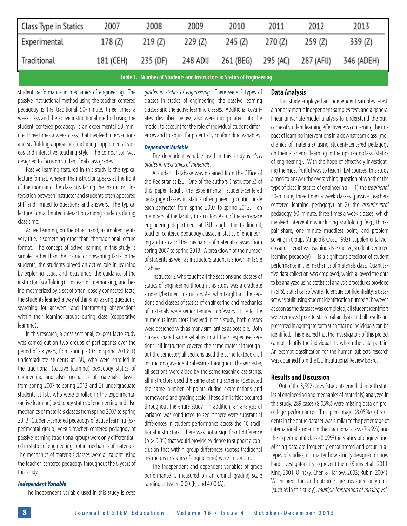| Class Type in Statics                                                                                         | 2007      | 2008    | 2009    | 2010                                            | 2011    | 2012    | 2013       |  |  |
|---------------------------------------------------------------------------------------------------------------|-----------|---------|---------|-------------------------------------------------|---------|---------|------------|--|--|
| Experimental                                                                                                  | 178 (Z)   | 219 (Z) | 229 (Z) | 245 (Z)                                         | 270 (Z) | 259 (Z) | 339 (Z)    |  |  |
| Traditional                                                                                                   | 181 (CEH) |         |         | 235 (DF) 248 ADIJ 261 (BEG) 295 (AC) 287 (AFIJ) |         |         | 346 (ADEH) |  |  |
| non de la constantina de la constantin de la constantin de la constantin de la constantin de la constantin de |           |         |         |                                                 |         |         |            |  |  |

**Table 1. Number of Students and Instructors in Statics of Engineering**

student performance in mechanics of engineering. The passive instructional method using the teacher-centered pedagogy is the traditional 50-minute, three times a week class and the active instructional method using the student-centered pedagogy is an experimental 50-minute, three times a week class, that involved interventions and scaffolding approaches, including supplemental videos and interactive-teaching style. The comparison was designed to focus on student final class grades.

Passive learning featured in this study is the typical lecture format, wherein the instructor speaks at the front of the room and the class sits facing the instructor. Interaction between instructor and students often appeared stiff and limited to questions and answers. The typical lecture format limited interaction among students during class time.

Active learning, on the other hand, as implied by its very title, is something "other than" the traditional lecture format. The concept of active learning in this study is simple, rather than the instructor presenting facts to the students, the students played an active role in learning by exploring issues and ideas under the guidance of the instructor (scaffolding). Instead of memorizing, and being mesmerized by a set of often loosely connected facts, the students learned a way of thinking, asking questions, searching for answers, and interpreting observations within their learning groups during class (cooperative learning).

In this research, a cross sectional, ex-post facto study was carried out on two groups of participants over the period of six years, from spring 2007 to spring 2013: 1) undergraduate students at ISU, who were enrolled in the traditional (passive learning) pedagogy statics of engineering and also mechanics of materials classes from spring 2007 to spring 2013 and 2) undergraduate students at ISU, who were enrolled in the experimental (active learning) pedagogy statics of engineering and also mechanics of materials classes from spring 2007 to spring 2013. Student-centered pedagogy of active learning (experimental group) versus teacher-centered pedagogy of passive learning (traditional group) were only differentiated in statics of engineering, not in mechanics of materials. The mechanics of materials classes were all taught using the teacher-centered pedagogy throughout the 6 years of this study.

#### *Independent Variable*

The independent variable used in this study is *class* 

*grades in statics of engineering*. There were 2 types of classes in statics of engineering: the passive learning classes and the active learning classes. Additional covariates, described below, also were incorporated into the model, to account for the role of individual student differences and to adjust for potentially confounding variables.

#### *Dependent Variable*

The dependent variable used in this study is *class grades in mechanics of materials.* 

A student database was obtained from the Office of the Registrar at ISU. One of the authors (Instructor Z) of this paper taught the experimental, student-centered pedagogy classes in statics of engineering continuously each semester, from spring 2007 to spring 2013. Ten members of the faculty (Instructors A-J) of the aerospace engineering department at ISU taught the traditional, teacher-centered pedagogy classes in statics of engineering and also all of the mechanics of materials classes, from spring 2007 to spring 2013. A breakdown of the number of students as well as instructors taught is shown in Table 1 above.

Instructor Z who taught all the sections and classes of statics of engineering through this study was a graduate student/lecturer. Instructors A-J who taught all the sections and classes of statics of engineering and mechanics of materials were senior tenured professors. Due to the numerous instructors involved in this study, both classes were designed with as many similarities as possible. Both classes shared same syllabus in all their respective sections; all instructors covered the same material throughout the semester; all sections used the same textbook, all instructors gave identical exams throughout the semester, all sections were aided by the same teaching assistants, all instructors used the same grading scheme (deducted the same number of points during examinations and homework) and grading scale. These similarities occurred throughout the entire study. In addition, an analysis of variance was conducted to see if there were substantial differences in student performance across the 10 traditional instructors. There was not a significant difference  $(p > 0.05)$  that would provide evidence to support a conclusion that within-group differences (across traditional instructors in statics of engineering) were important.

The independent and dependent variables of grade performance is measured on an ordinal grading scale ranging between 0.00 (F) and 4.00 (A).

#### **Data Analysis**

This study employed an independent samples t-test, a nonparametric independent samples test, and a general linear univariate model analysis to understand the outcome of student learning effectiveness concerning the impact of learning interventions in a downstream class (mechanics of materials) using student-centered pedagogy on their academic learning in the upstream class (statics of engineering). With the hope of effectively investigating the most fruitful way to teach IFEM courses, this study aimed to answer the overarching question of whether the type of class in statics of engineering—1) the *traditional*  50-minute, three times a week classes (passive, teachercentered learning pedagogy) or 2) the *experimental*  pedagogy, 50-minute, three times a week classes, which involved interventions including scaffolding (e.g., thinkpair-share, one-minute muddiest point, and problem solving in groups (Angelo & Cross, 1993), supplemental videos and interactive-teaching style (active, student-centered learning pedagogy)—is a significant predictor of student performance in the mechanics of materials class. Quantitative data collection was employed, which allowed the data to be analyzed using statistical analysis procedures provided in SPSS statistical software. To ensure confidentiality, a dataset was built using student identification numbers; however, as soon as the dataset was completed, all student identifiers were removed prior to statistical analysis and all results are presented in aggregate form such that no individuals can be identified. This ensured that the investigators of this project cannot identify the individuals to whom the data pertain. An exempt classification for the human subjects research was obtained from the ISU Institutional Review Board.

#### **Results and Discussion**

Out of the 3,592 cases (students enrolled in both statics of engineering and mechanics of materials) analyzed in this study, 289 cases (8.05%) were missing data on precollege performance. This percentage (8.05%) of students in the entire dataset was similar to the percentage of international student in the traditional class (7.96%) and the experimental class (8.09%) in statics of engineering. Missing data are frequently encountered and occur in all types of studies, no matter how strictly designed or how hard investigators try to prevent them (Burns et al., 2011; King, 2001; Olinsky, Chen & Harlow, 2003; Rubin, 2004). When predictors and outcomes are measured only once (such as in this study), *multiple imputation of missing val-*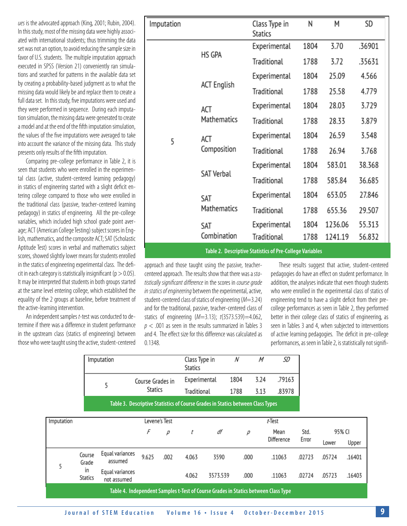*ues* is the advocated approach (King, 2001; Rubin, 2004). In this study, most of the missing data were highly associated with international students; thus trimming the data set was not an option, to avoid reducing the sample size in favor of U.S. students. The multiple imputation approach executed in SPSS (Version 21) conveniently ran simulations and searched for patterns in the available data set by creating a probability-based judgment as to what the missing data would likely be and replace them to create a full data set. In this study, five imputations were used and they were performed in sequence. During each imputation simulation, the missing data were generated to create a model and at the end of the fifth imputation simulation, the values of the five imputations were averaged to take into account the variance of the missing data. This study presents only results of the fifth imputation.

Comparing pre-college performance in Table 2, it is seen that students who were enrolled in the experimental class (active, student-centered learning pedagogy) in statics of engineering started with a slight deficit entering college compared to those who were enrolled in the traditional class (passive, teacher-centered learning pedagogy) in statics of engineering. All the pre-college variables, which included high school grade point average; ACT (American College Testing) subject scores in English, mathematics, and the composite ACT; SAT (Scholastic Aptitude Test) scores in verbal and mathematics subject scores, showed slightly lower means for students enrolled in the statics of engineering experimental class. The deficit in each category is statistically insignificant ( $p > 0.05$ ). It may be interpreted that students in both groups started at the same level entering college, which established the equality of the 2 groups at baseline, before treatment of the active-learning intervention.

An independent samples *t*-test was conducted to determine if there was a difference in student performance in the upstream class (statics of engineering) between those who were taught using the active, student-centered

 $\Box$ 

 $\sim$ 

not assumed

| Imputation |                             | Class Type in<br><b>Statics</b>                                 | Ν    | Μ       | SD     |
|------------|-----------------------------|-----------------------------------------------------------------|------|---------|--------|
|            |                             | Experimental                                                    | 1804 | 3.70    | .36901 |
|            | HS GPA                      | Traditional                                                     | 1788 | 3.72    | .35631 |
|            |                             | Experimental                                                    | 1804 | 25.09   | 4.566  |
|            | <b>ACT English</b>          | Traditional                                                     | 1788 | 25.58   | 4.779  |
|            | ACT                         | Experimental                                                    | 1804 | 28.03   | 3.729  |
|            | Mathematics                 | Traditional                                                     | 1788 | 28.33   | 3.879  |
| 5          | ACT                         | Experimental                                                    | 1804 | 26.59   | 3.548  |
|            | Composition                 | Traditional                                                     | 1788 | 26.94   | 3.768  |
|            |                             | Experimental                                                    | 1804 | 583.01  | 38.368 |
|            | <b>SAT Verbal</b>           | Traditional                                                     | 1788 | 585.84  | 36.685 |
|            | SAT                         | Experimental                                                    | 1804 | 653.05  | 27.846 |
|            | Mathematics                 | Traditional                                                     | 1788 | 655.36  | 29.507 |
|            | SAT                         | Experimental                                                    | 1804 | 1236.06 | 55.313 |
|            | Combination                 | Traditional                                                     | 1788 | 1241.19 | 56.832 |
|            | <b>THE REPORT OF STREET</b> | <b>CONTRACTOR CONTRACTOR</b> IN THE PARTY OF THE REAL PROPERTY. |      |         |        |

**Table 2. Descriptive Statistics of Pre-College Variables**

 $\overline{\cdot}$ 

 $\overline{a}$ 

approach and those taught using the passive, teachercentered approach. The results show that there was a *statistically significant difference* in the scores in *course grade in statics of engineering* between the experimental, active, student-centered class of statics of engineering (*M*=3.24) and for the traditional, passive, teacher-centered class of statics of engineering (*M*=3.13); *t*(3573.539)=4.062, *p* < .001 as seen in the results summarized in Tables 3 and 4. The effect size for this difference was calculated as 0.1348.

These results suggest that active, student-centered pedagogies do have an effect on student performance. In addition, the analyses indicate that even though students who were enrolled in the experimental class of statics of engineering tend to have a slight deficit from their precollege performances as seen in Table 2, they performed better in their college class of statics of engineering, as seen in Tables 3 and 4, when subjected to interventions of active learning pedagogies. The deficit in pre-college performances, as seen in Table 2, is statistically not signifi-

95% CI

Upper

.16401

.16403

|            |                      | Imputation                     |                  |               | <b>Statics</b> | Class Type in<br>N                                                              |      | M    | שנ                 |               |            |
|------------|----------------------|--------------------------------|------------------|---------------|----------------|---------------------------------------------------------------------------------|------|------|--------------------|---------------|------------|
|            |                      | 5                              | Course Grades in |               | Experimental   |                                                                                 | 1804 | 3.24 | .79163             |               |            |
|            |                      |                                | <b>Statics</b>   |               | Traditional    |                                                                                 | 1788 | 3.13 | .83978             |               |            |
|            |                      |                                |                  |               |                | Table 3. Descriptive Statistics of Course Grades in Statics between Class Types |      |      |                    |               |            |
| Imputation |                      |                                |                  | Levene's Test |                |                                                                                 |      |      | t-Test             |               |            |
|            |                      |                                | F                | р             | t              | df                                                                              | р    |      | Mean<br>Difference | Std.<br>Error | 9<br>Lower |
| 5          | Course<br>Grade      | Equal variances<br>assumed     | 9.625            | .002          | 4.063          | 3590                                                                            | .000 |      | .11063             | .02723        | .05724     |
|            | in<br><b>Statics</b> | Equal variances<br>not accumed |                  |               | 4.062          | 3573.539                                                                        | .000 |      | .11063             | .02724        | .05723     |

**Table 4. Independent Samples t-Test of Course Grades in Statics between Class Type**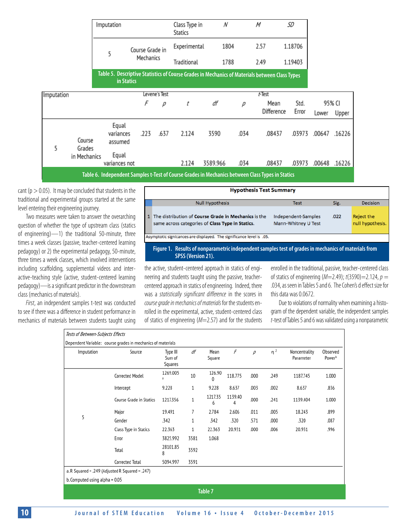|            |                  |  | Imputation                    |                 |               | Class Type in<br>Statics | N        |      | M                                                                                                | SD      |        |        |
|------------|------------------|--|-------------------------------|-----------------|---------------|--------------------------|----------|------|--------------------------------------------------------------------------------------------------|---------|--------|--------|
|            |                  |  | 5                             | Course Grade in |               | Experimental             | 1804     |      | 2.57                                                                                             | 1.18706 |        |        |
|            |                  |  |                               |                 | Mechanics     |                          | 1788     |      | 2.49                                                                                             | 1.19403 |        |        |
|            |                  |  | in Statics                    |                 |               |                          |          |      | Table 5. Descriptive Statistics of Course Grades in Mechanics of Materials between Class Types   |         |        |        |
| Imputation |                  |  |                               |                 | Levene's Test |                          |          |      | t-Test                                                                                           |         |        |        |
|            |                  |  |                               | F               | р             | t                        | df       | р    | Mean                                                                                             | Std.    |        | 95% CI |
|            |                  |  |                               |                 |               |                          |          |      | Difference                                                                                       | Error   | Lower  | Upper  |
| 5          | Course<br>Grades |  | Equal<br>variances<br>assumed | .223            | .637          | 2.124                    | 3590     | .034 | .08437                                                                                           | .03973  | .00647 | .16226 |
|            | in Mechanics     |  | Equal<br>variances not        |                 |               | 2.124                    | 3589.966 | .034 | .08437                                                                                           | .03973  | .00648 | .16226 |
|            |                  |  |                               |                 |               |                          |          |      | Table 6. Independent Samples t-Test of Course Grades in Mechanics between Class Types in Statics |         |        |        |

cant ( $p > 0.05$ ). It may be concluded that students in the traditional and experimental groups started at the same level entering their engineering journey.

Two measures were taken to answer the overarching question of whether the type of upstream class (statics of engineering)—1) the traditional 50-minute, three times a week classes (passive, teacher-centered learning pedagogy) or 2) the experimental pedagogy, 50-minute, three times a week classes, which involved interventions including scaffolding, supplemental videos and interactive-teaching style (active, student-centered learning pedagogy)—is a significant predictor in the downstream class (mechanics of materials).

*First*, an independent samples t-test was conducted to see if there was a difference in student performance in mechanics of materials between students taught using

| <b>Hypothesis Test Summary</b>                                                                           |                                            |      |                                |  |  |  |  |  |  |
|----------------------------------------------------------------------------------------------------------|--------------------------------------------|------|--------------------------------|--|--|--|--|--|--|
| <b>Null Hypothesis</b>                                                                                   | <b>Test</b>                                | Sig. | Decision                       |  |  |  |  |  |  |
| The distribution of Course Grade in Mechanics is the<br>same across categories of Class Type in Statics. | Independent-Samples<br>Mann-Whitney U Test | .022 | Reject the<br>null hypothesis. |  |  |  |  |  |  |
| Asymptotic signicances are displayed. The significance level is .05.                                     |                                            |      |                                |  |  |  |  |  |  |
| Figure 1. Results of nonparametric independent samples test of grades in mechanics of materials from     |                                            |      |                                |  |  |  |  |  |  |

 **SPSS (Version 21).**

the active, student-centered approach in statics of engineering and students taught using the passive, teachercentered approach in statics of engineering. Indeed, there was a *statistically significant difference* in the scores in *course grade in mechanics of materials* for the students enrolled in the experimental, active, student-centered class of statics of engineering (*M*=2.57) and for the students

enrolled in the traditional, passive, teacher-centered class of statics of engineering (*M*=2.49); *t*(3590)=2.124, *p* = .034, as seen in Tables 5 and 6. The Cohen's d effect size for this data was 0.0672.

Due to violations of normality when examining a histogram of the dependent variable, the independent samples *t*-test of Tables 5 and 6 was validated using a nonparametric

| Tests of Between-Subjects Effects                           |                         |                               |      |                |              |      |       |                            |                    |  |
|-------------------------------------------------------------|-------------------------|-------------------------------|------|----------------|--------------|------|-------|----------------------------|--------------------|--|
| Dependent Variable: course grades in mechanics of materials |                         |                               |      |                |              |      |       |                            |                    |  |
| Imputation                                                  | Source                  | Type III<br>Sum of<br>Squares | df   | Mean<br>Square | F            | р    | $n^2$ | Noncentrality<br>Parameter | Observed<br>Powerb |  |
|                                                             | <b>Corrected Model</b>  | 1269.005<br>a                 | 10   | 126.90<br>0    | 118.775      | .000 | .249  | 1187.745                   | 1.000              |  |
|                                                             | Intercept               | 9.228                         | 1    | 9.228          | 8.637        | .003 | .002  | 8.637                      | .836               |  |
|                                                             | Course Grade in Statics | 1217.356                      | 1    | 1217.35<br>6   | 1139.40<br>4 | .000 | .241  | 1139.404                   | 1.000              |  |
|                                                             | Major                   | 19.491                        | 7    | 2.784          | 2.606        | .011 | .005  | 18.243                     | .899               |  |
| 5                                                           | Gender                  | .342                          | 1    | .342           | .320         | .571 | .000  | .320                       | .087               |  |
|                                                             | Class Type in Statics   | 22.363                        | 1    | 22.363         | 20.931       | .000 | .006  | 20.931                     | .996               |  |
|                                                             | Error                   | 3825.992                      | 3581 | 1.068          |              |      |       |                            |                    |  |
|                                                             | Total                   | 28101.85<br>8                 | 3592 |                |              |      |       |                            |                    |  |
|                                                             | Corrected Total         | 5094.997                      | 3591 |                |              |      |       |                            |                    |  |
| a.R Squared = .249 (Adjusted R Squared = .247)              |                         |                               |      |                |              |      |       |                            |                    |  |
| b. Computed using alpha = 0.05                              |                         |                               |      |                |              |      |       |                            |                    |  |
| Table 7                                                     |                         |                               |      |                |              |      |       |                            |                    |  |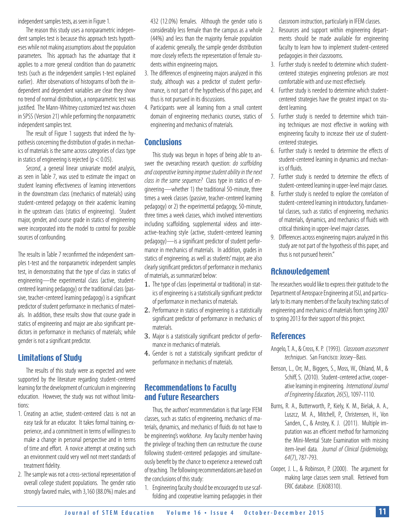independent samples tests, as seen in Figure 1.

The reason this study uses a nonparametric independent samples test is because this approach tests hypotheses while not making assumptions about the population parameters. This approach has the advantage that it applies to a more general condition than do parametric tests (such as the independent samples t-test explained earlier). After observations of histograms of both the independent and dependent variables are clear they show no trend of normal distribution, a nonparametric test was justified. The Mann-Whitney customized test was chosen in SPSS (Version 21) while performing the nonparametric independent samples test.

The result of Figure 1 suggests that indeed the hypothesis concerning the distribution of grades in mechanics of materials is the same across categories of class type in statics of engineering is rejected ( $p < 0.05$ ).

*Second*, a general linear univariate model analysis, as seen in Table 7, was used to estimate the impact on student learning effectiveness of learning interventions in the downstream class (mechanics of materials) using student-centered pedagogy on their academic learning in the upstream class (statics of engineering). Student major, gender, and course grade in statics of engineering were incorporated into the model to control for possible sources of confounding.

The results in Table 7 reconfirmed the independent samples t-test and the nonparametric independent samples test, in demonstrating that the type of class in statics of engineering—the experimental class (active, studentcentered learning pedagogy) or the traditional class (passive, teacher-centered learning pedagogy) is a significant predictor of student performance in mechanics of materials. In addition, these results show that course grade in statics of engineering and major are also significant predictors in performance in mechanics of materials; while gender is not a significant predictor.

# Limitations of Study

The results of this study were as expected and were supported by the literature regarding student-centered learning for the development of curriculum in engineering education. However, the study was not without limitations:

- 1. Creating an active, student-centered class is not an easy task for an educator. It takes formal training, experience, and a commitment in terms of willingness to make a change in personal perspective and in terms of time and effort. A novice attempt at creating such an environment could very well not meet standards of treatment fidelity.
- 2. The sample was not a cross-sectional representation of overall college student populations. The gender ratio strongly favored males, with 3,160 (88.0%) males and

432 (12.0%) females. Although the gender ratio is considerably less female than the campus as a whole (44%) and less than the majority female population of academic generally, the sample gender distribution more closely reflects the representation of female students within engineering majors.

- 3. The differences of engineering majors analyzed in this study, although was a predictor of student performance, is not part of the hypothesis of this paper, and thus is not pursued in its discussions.
- 4. Participants were all learning from a small content domain of engineering mechanics courses, statics of engineering and mechanics of materials.

# **Conclusions**

This study was begun in hopes of being able to answer the overarching research question: *do scaffolding and cooperative learning improve student ability in the next class in the same sequence?* Class type in statics of engineering—whether 1) the traditional 50-minute, three times a week classes (passive, teacher-centered learning pedagogy) or 2) the experimental pedagogy, 50-minute, three times a week classes, which involved interventions including scaffolding, supplemental videos and interactive-teaching style (active, student-centered learning pedagogy)—is a significant predictor of student performance in mechanics of materials. In addition, grades in statics of engineering, as well as students' major, are also clearly significant predictors of performance in mechanics of materials, as summarized below:

- 1. The type of class (experimental or traditional) in statics of engineering is a statistically significant predictor of performance in mechanics of materials.
- 2. Performance in statics of engineering is a statistically significant predictor of performance in mechanics of materials.
- 3. Major is a statistically significant predictor of performance in mechanics of materials.
- 4. Gender is not a statistically significant predictor of performance in mechanics of materials.

# Recommendations to Faculty and Future Researchers

Thus, the authors' recommendation is that large IFEM classes, such as statics of engineering, mechanics of materials, dynamics, and mechanics of fluids do not have to be engineering's workhorse. Any faculty member having the privilege of teaching them can restructure the course following student-centered pedagogies and simultaneously benefit by the chance to experience a renewed craft of teaching. The following recommendations are based on the conclusions of this study:

1. Engineering faculty should be encouraged to use scaffolding and cooperative learning pedagogies in their

classroom instruction, particularly in IFEM classes.

- 2. Resources and support within engineering departments should be made available for engineering faculty to learn how to implement student-centered pedagogies in their classrooms.
- 3. Further study is needed to determine which studentcentered strategies engineering professors are most comfortable with and use most effectively.
- 4. Further study is needed to determine which studentcentered strategies have the greatest impact on student learning.
- 5. Further study is needed to determine which training techniques are most effective in working with engineering faculty to increase their use of studentcentered strategies.
- 6. Further study is needed to determine the effects of student-centered learning in dynamics and mechanics of fluids.
- 7. Further study is needed to determine the effects of student-centered learning in upper-level major classes.
- 8. Further study is needed to explore the correlation of student-centered learning in introductory, fundamental classes, such as statics of engineering, mechanics of materials, dynamics, and mechanics of fluids with critical thinking in upper-level major classes.
- 9. Differences across engineering majors analyzed in this study are not part of the hypothesis of this paper, and thus is not pursued herein."

# **Acknowledgement**

The researchers would like to express their gratitude to the Department of Aerospace Engineering at ISU, and particularly to its many members of the faculty teaching statics of engineering and mechanics of materials from spring 2007 to spring 2013 for their support of this project.

# **References**

- Angelo, T. A., & Cross, K. P. (1993). *Classroom assessment techniques*. San Francisco: Jossey–Bass.
- Benson, L., Orr, M., Biggers, S., Moss, W., Ohland, M., & Schiff, S. (2010). Student-centered active, cooperative learning in engineering. *International Journal of Engineering Education, 26*(5), 1097-1110.
- Burns, R. A., Butterworth, P., Kiely, K. M., Bielak, A. A., Luszcz, M. A., Mitchell, P., Christensen, H., Von Sanden, C., & Anstey, K. J. (2011). Multiple imputation was an efficient method for harmonizing the Mini-Mental State Examination with missing item-level data. *Journal of Clinical Epidemiology, 64*(7), 787-793.
- Cooper, J. L., & Robinson, P. (2000). The argument for making large classes seem small. Retrieved from ERIC database. (EJ608310).